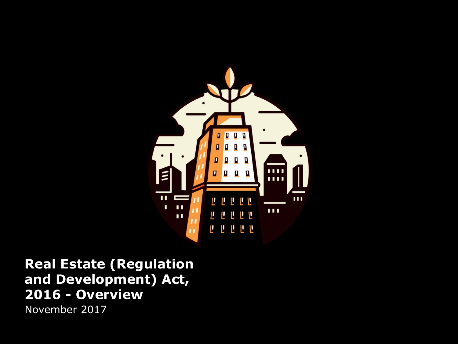

### Headline Verdana Bold **2016 - Overview Real Estate (Regulation and Development) Act,**

November 2017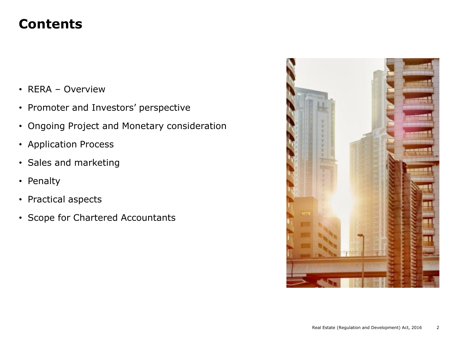#### **Contents**

- RERA Overview
- Promoter and Investors' perspective
- Ongoing Project and Monetary consideration
- Application Process
- Sales and marketing
- Penalty
- Practical aspects
- Scope for Chartered Accountants

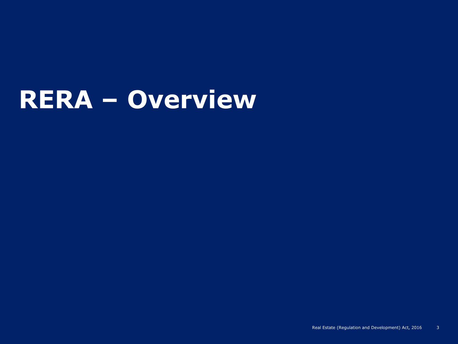# **RERA – Overview**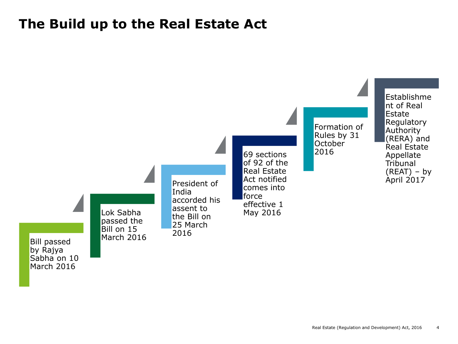#### **The Build up to the Real Estate Act**

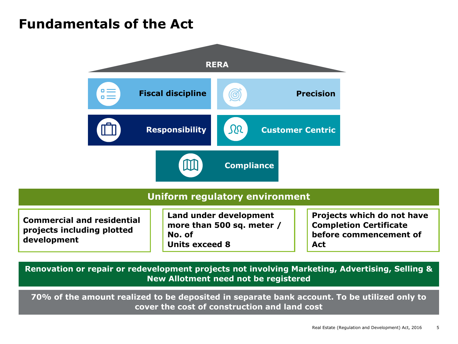#### **Fundamentals of the Act**



**Renovation or repair or redevelopment projects not involving Marketing, Advertising, Selling & New Allotment need not be registered** 

**70% of the amount realized to be deposited in separate bank account. To be utilized only to cover the cost of construction and land cost**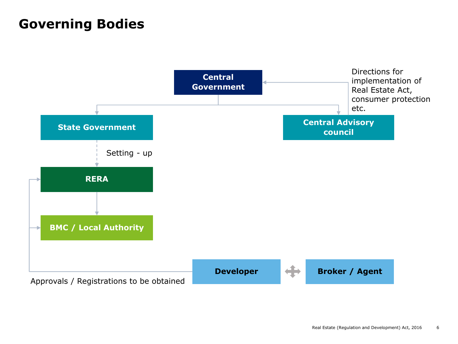### **Governing Bodies**

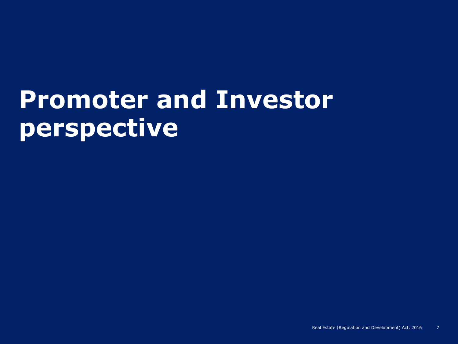# **Promoter and Investor perspective**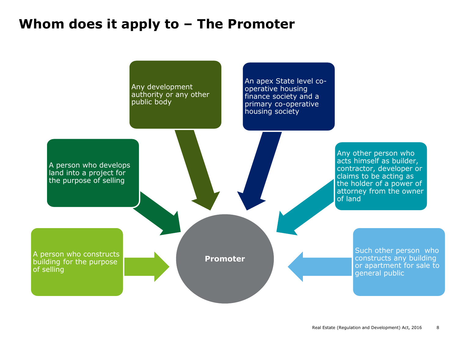### **Whom does it apply to – The Promoter**

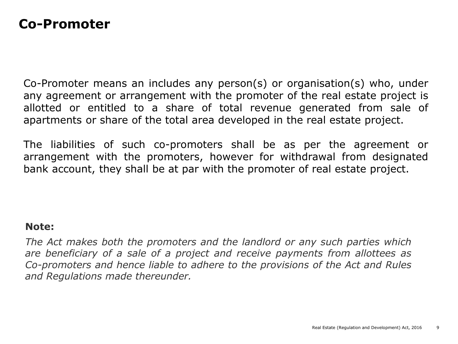#### **Co-Promoter**

Co-Promoter means an includes any person(s) or organisation(s) who, under any agreement or arrangement with the promoter of the real estate project is allotted or entitled to a share of total revenue generated from sale of apartments or share of the total area developed in the real estate project.

The liabilities of such co-promoters shall be as per the agreement or arrangement with the promoters, however for withdrawal from designated bank account, they shall be at par with the promoter of real estate project.

#### **Note:**

*The Act makes both the promoters and the landlord or any such parties which are beneficiary of a sale of a project and receive payments from allottees as Co-promoters and hence liable to adhere to the provisions of the Act and Rules and Regulations made thereunder.*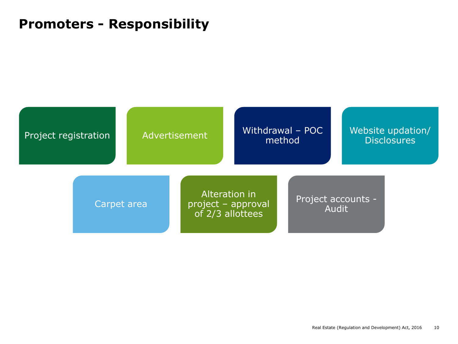### **Promoters - Responsibility**

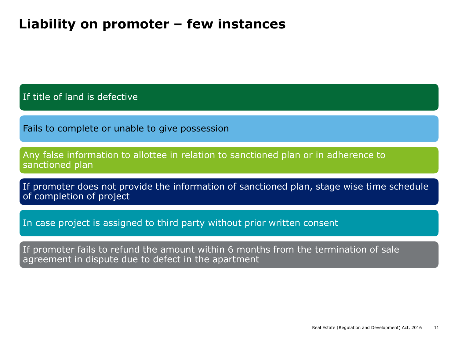### **Liability on promoter – few instances**

If title of land is defective

Fails to complete or unable to give possession

Any false information to allottee in relation to sanctioned plan or in adherence to sanctioned plan

If promoter does not provide the information of sanctioned plan, stage wise time schedule of completion of project

In case project is assigned to third party without prior written consent

If promoter fails to refund the amount within 6 months from the termination of sale agreement in dispute due to defect in the apartment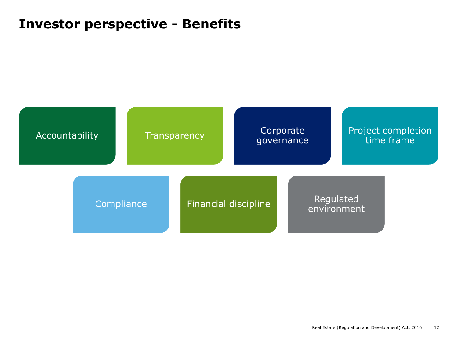### **Investor perspective - Benefits**

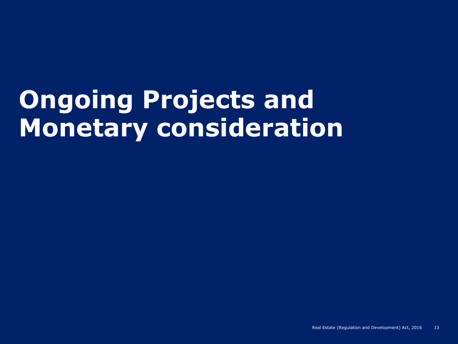# **Ongoing Projects and Monetary consideration**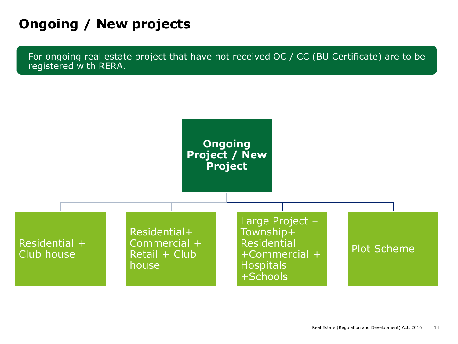# **Ongoing / New projects**

For ongoing real estate project that have not received OC / CC (BU Certificate) are to be registered with RERA.

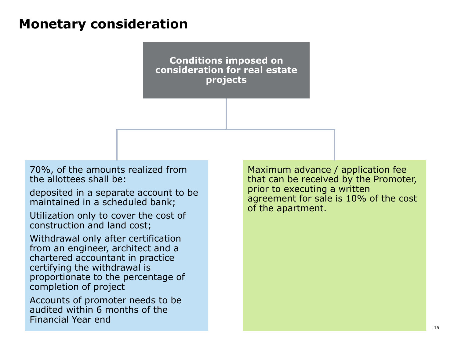### **Monetary consideration**

**Conditions imposed on consideration for real estate projects**

70%, of the amounts realized from the allottees shall be:

deposited in a separate account to be maintained in a scheduled bank;

Utilization only to cover the cost of construction and land cost;

Withdrawal only after certification from an engineer, architect and a chartered accountant in practice certifying the withdrawal is proportionate to the percentage of completion of project

Accounts of promoter needs to be audited within 6 months of the Financial Year end

Maximum advance / application fee that can be received by the Promoter, prior to executing a written agreement for sale is 10% of the cost of the apartment.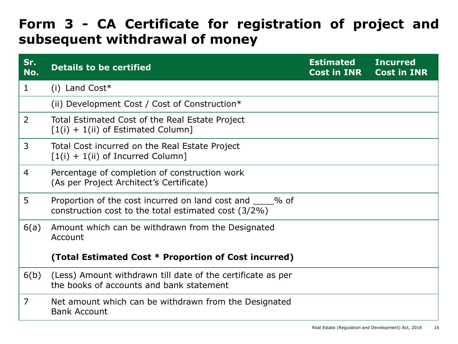#### **Form 3 - CA Certificate for registration of project and subsequent withdrawal of money**

| Sr.<br>No. | <b>Details to be certified</b>                                                                                     | <b>Estimated</b><br><b>Cost in INR</b> | <b>Incurred</b><br>Cost in INR |
|------------|--------------------------------------------------------------------------------------------------------------------|----------------------------------------|--------------------------------|
| 1          | $(i)$ Land Cost*                                                                                                   |                                        |                                |
|            | (ii) Development Cost / Cost of Construction*                                                                      |                                        |                                |
| 2          | Total Estimated Cost of the Real Estate Project<br>$[1(i) + 1(ii)$ of Estimated Column]                            |                                        |                                |
| 3          | Total Cost incurred on the Real Estate Project<br>$[1(i) + 1(ii)$ of Incurred Column]                              |                                        |                                |
| 4          | Percentage of completion of construction work<br>(As per Project Architect's Certificate)                          |                                        |                                |
| 5          | Proportion of the cost incurred on land cost and _____% of<br>construction cost to the total estimated cost (3/2%) |                                        |                                |
| 6(a)       | Amount which can be withdrawn from the Designated<br>Account                                                       |                                        |                                |
|            | (Total Estimated Cost * Proportion of Cost incurred)                                                               |                                        |                                |
| 6(b)       | (Less) Amount withdrawn till date of the certificate as per<br>the books of accounts and bank statement            |                                        |                                |
| 7          | Net amount which can be withdrawn from the Designated<br><b>Bank Account</b>                                       |                                        |                                |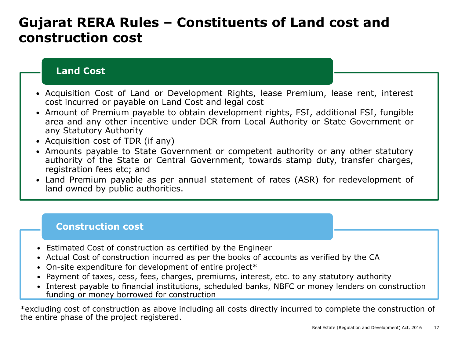#### **Gujarat RERA Rules – Constituents of Land cost and construction cost**

#### **Land Cost**

- Acquisition Cost of Land or Development Rights, lease Premium, lease rent, interest cost incurred or payable on Land Cost and legal cost
- Amount of Premium payable to obtain development rights, FSI, additional FSI, fungible area and any other incentive under DCR from Local Authority or State Government or any Statutory Authority
- Acquisition cost of TDR (if any)
- Amounts payable to State Government or competent authority or any other statutory authority of the State or Central Government, towards stamp duty, transfer charges, registration fees etc; and
- Land Premium payable as per annual statement of rates (ASR) for redevelopment of land owned by public authorities.

#### **Construction cost**

- Estimated Cost of construction as certified by the Engineer
- Actual Cost of construction incurred as per the books of accounts as verified by the CA
- On-site expenditure for development of entire project<sup>\*</sup>
- Payment of taxes, cess, fees, charges, premiums, interest, etc. to any statutory authority
- Interest payable to financial institutions, scheduled banks, NBFC or money lenders on construction funding or money borrowed for construction

\*excluding cost of construction as above including all costs directly incurred to complete the construction of the entire phase of the project registered.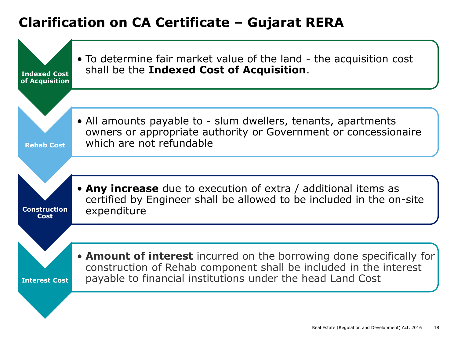## **Clarification on CA Certificate – Gujarat RERA**

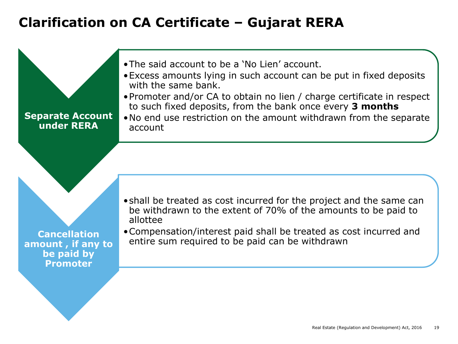## **Clarification on CA Certificate – Gujarat RERA**

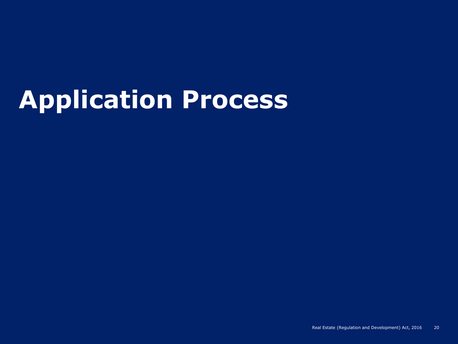# **Application Process**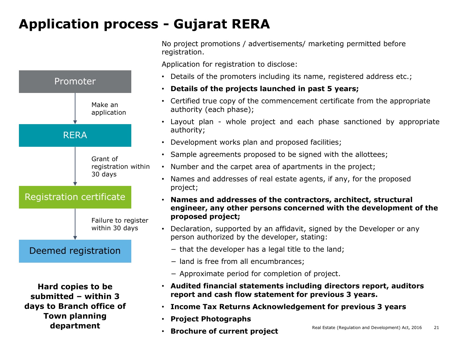# **Application process - Gujarat RERA**



**Hard copies to be submitted – within 3 days to Branch office of Town planning department**

No project promotions / advertisements/ marketing permitted before registration.

Application for registration to disclose:

- Details of the promoters including its name, registered address etc.;
- **Details of the projects launched in past 5 years;**
- Certified true copy of the commencement certificate from the appropriate authority (each phase);
- Layout plan whole project and each phase sanctioned by appropriate authority;
- Development works plan and proposed facilities;
- Sample agreements proposed to be signed with the allottees;
- Number and the carpet area of apartments in the project;
- Names and addresses of real estate agents, if any, for the proposed project;
- **Names and addresses of the contractors, architect, structural engineer, any other persons concerned with the development of the proposed project;**
- Declaration, supported by an affidavit, signed by the Developer or any person authorized by the developer, stating:
	- − that the developer has a legal title to the land;
	- − land is free from all encumbrances;
	- − Approximate period for completion of project.
- **Audited financial statements including directors report, auditors report and cash flow statement for previous 3 years.**
- **Income Tax Returns Acknowledgement for previous 3 years**
- **Project Photographs**
- **Brochure of current project**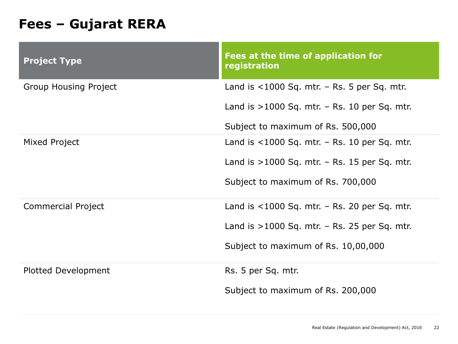# **Fees – Gujarat RERA**

| <b>Project Type</b>          | Fees at the time of application for<br>registration |
|------------------------------|-----------------------------------------------------|
| <b>Group Housing Project</b> | Land is $<$ 1000 Sq. mtr. – Rs. 5 per Sq. mtr.      |
|                              | Land is $>1000$ Sq. mtr. - Rs. 10 per Sq. mtr.      |
|                              | Subject to maximum of Rs. 500,000                   |
| Mixed Project                | Land is $< 1000$ Sq. mtr. – Rs. 10 per Sq. mtr.     |
|                              | Land is $>1000$ Sq. mtr. - Rs. 15 per Sq. mtr.      |
|                              | Subject to maximum of Rs. 700,000                   |
| <b>Commercial Project</b>    | Land is $<$ 1000 Sq. mtr. – Rs. 20 per Sq. mtr.     |
|                              | Land is $>1000$ Sq. mtr. – Rs. 25 per Sq. mtr.      |
|                              | Subject to maximum of Rs. 10,00,000                 |
| <b>Plotted Development</b>   | Rs. 5 per Sq. mtr.                                  |
|                              | Subject to maximum of Rs. 200,000                   |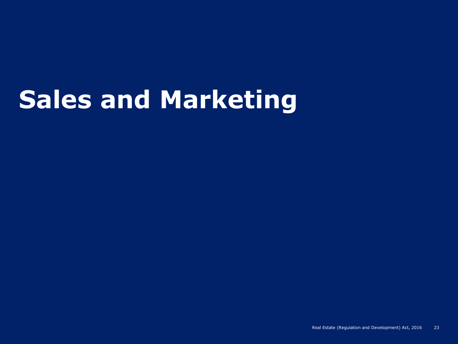# **Sales and Marketing**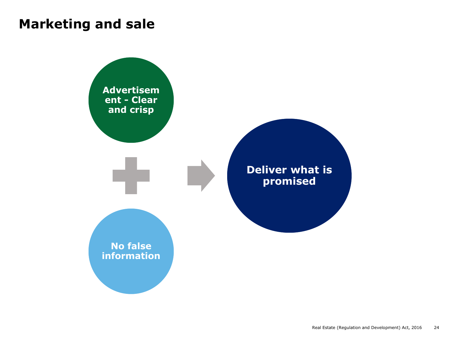#### **Marketing and sale**

**Advertisem ent - Clear and crisp**

> **Deliver what is promised**

**No false information**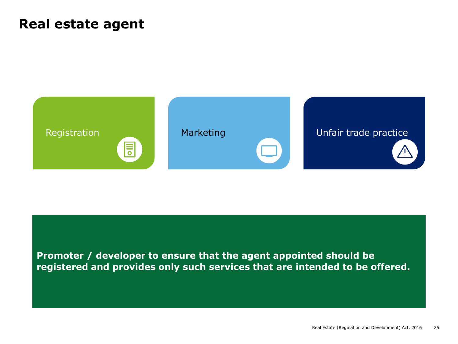#### **Real estate agent**



**Promoter / developer to ensure that the agent appointed should be registered and provides only such services that are intended to be offered.**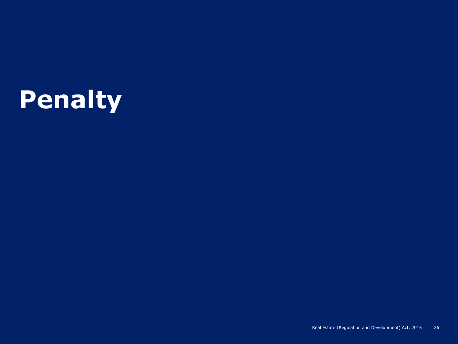# **Penalty**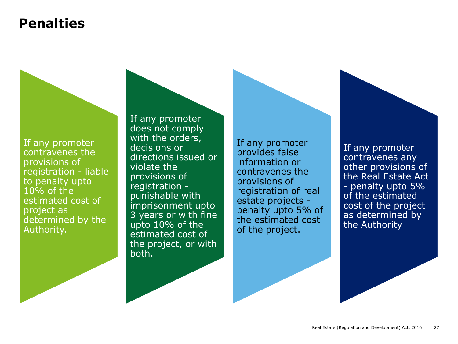#### **Penalties**

If any promoter contravenes the provisions of registration - liable to penalty upto 10% of the estimated cost of project as determined by the Authority.

If any promoter does not comply with the orders, decisions or directions issued or violate the provisions of registration punishable with imprisonment upto 3 years or with fine upto 10% of the estimated cost of the project, or with both.

If any promoter provides false information or contravenes the provisions of registration of real estate projects penalty upto 5% of the estimated cost of the project.

If any promoter contravenes any other provisions of the Real Estate Act - penalty upto 5% of the estimated cost of the project as determined by the Authority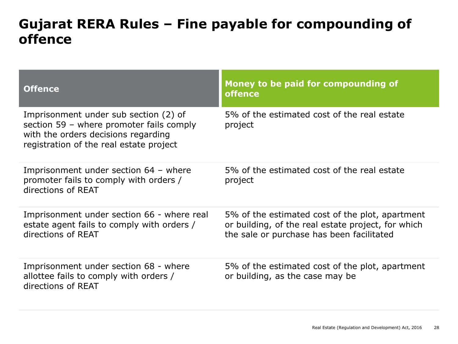#### **Gujarat RERA Rules – Fine payable for compounding of offence**

| <b>Offence</b>                                                                                                                                                      | Money to be paid for compounding of<br><b>offence</b>                                                                                              |
|---------------------------------------------------------------------------------------------------------------------------------------------------------------------|----------------------------------------------------------------------------------------------------------------------------------------------------|
| Imprisonment under sub section (2) of<br>section 59 – where promoter fails comply<br>with the orders decisions regarding<br>registration of the real estate project | 5% of the estimated cost of the real estate<br>project                                                                                             |
| Imprisonment under section 64 - where<br>promoter fails to comply with orders /<br>directions of REAT                                                               | 5% of the estimated cost of the real estate<br>project                                                                                             |
| Imprisonment under section 66 - where real<br>estate agent fails to comply with orders /<br>directions of REAT                                                      | 5% of the estimated cost of the plot, apartment<br>or building, of the real estate project, for which<br>the sale or purchase has been facilitated |
| Imprisonment under section 68 - where<br>allottee fails to comply with orders /<br>directions of REAT                                                               | 5% of the estimated cost of the plot, apartment<br>or building, as the case may be                                                                 |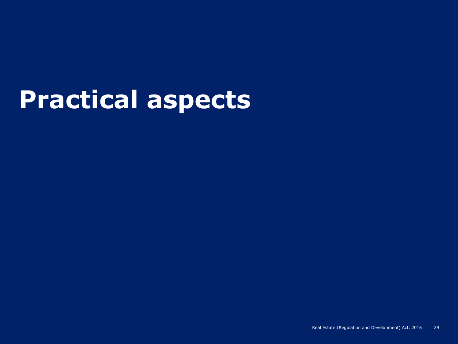# **Practical aspects**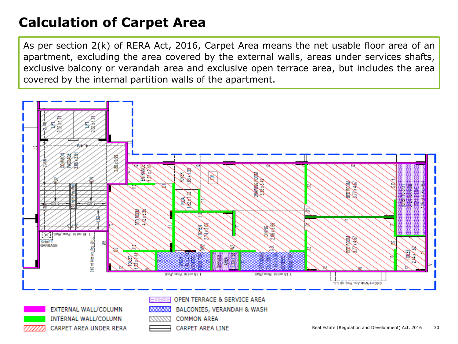# **Calculation of Carpet Area**

As per section 2(k) of RERA Act, 2016, Carpet Area means the net usable floor area of an apartment, excluding the area covered by the external walls, areas under services shafts, exclusive balcony or verandah area and exclusive open terrace area, but includes the area covered by the internal partition walls of the apartment.

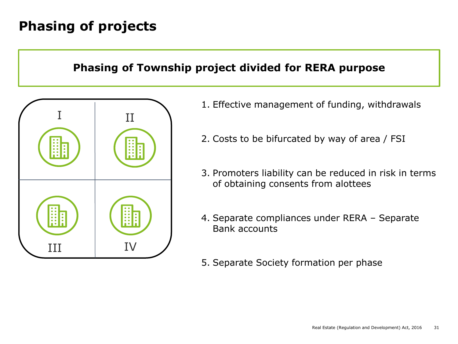### **Phasing of projects**

#### **Phasing of Township project divided for RERA purpose**



- 1. Effective management of funding, withdrawals
- 2. Costs to be bifurcated by way of area / FSI
- 3. Promoters liability can be reduced in risk in terms of obtaining consents from alottees
- 4. Separate compliances under RERA Separate Bank accounts
- 5. Separate Society formation per phase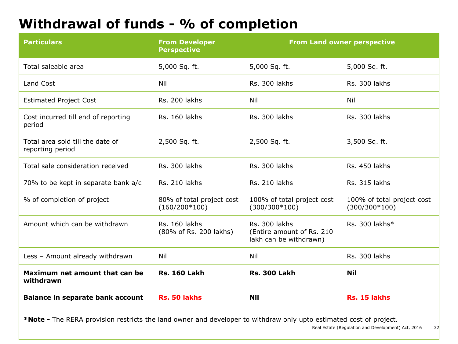# **Withdrawal of funds - % of completion**

| <b>Particulars</b>                                                                                                 | <b>From Developer</b><br><b>Perspective</b>  |                                                                      | <b>From Land owner perspective</b>            |
|--------------------------------------------------------------------------------------------------------------------|----------------------------------------------|----------------------------------------------------------------------|-----------------------------------------------|
| Total saleable area                                                                                                | 5,000 Sq. ft.                                | 5,000 Sq. ft.                                                        | 5,000 Sq. ft.                                 |
| Land Cost                                                                                                          | Nil                                          | Rs. 300 lakhs                                                        | Rs. 300 lakhs                                 |
| <b>Estimated Project Cost</b>                                                                                      | Rs. 200 lakhs                                | Nil                                                                  | Nil                                           |
| Cost incurred till end of reporting<br>period                                                                      | Rs. 160 lakhs                                | Rs. 300 lakhs                                                        | Rs. 300 lakhs                                 |
| Total area sold till the date of<br>reporting period                                                               | 2,500 Sq. ft.                                | 2,500 Sq. ft.                                                        | 3,500 Sq. ft.                                 |
| Total sale consideration received                                                                                  | Rs. 300 lakhs                                | Rs. 300 lakhs                                                        | Rs. 450 lakhs                                 |
| 70% to be kept in separate bank a/c                                                                                | Rs. 210 lakhs                                | Rs. 210 lakhs                                                        | Rs. 315 lakhs                                 |
| % of completion of project                                                                                         | 80% of total project cost<br>$(160/200*100)$ | 100% of total project cost<br>$(300/300*100)$                        | 100% of total project cost<br>$(300/300*100)$ |
| Amount which can be withdrawn                                                                                      | Rs. 160 lakhs<br>(80% of Rs. 200 lakhs)      | Rs. 300 lakhs<br>(Entire amount of Rs. 210<br>lakh can be withdrawn) | Rs. 300 lakhs*                                |
| Less - Amount already withdrawn                                                                                    | Nil                                          | Nil                                                                  | Rs. 300 lakhs                                 |
| Maximum net amount that can be<br>withdrawn                                                                        | <b>Rs. 160 Lakh</b>                          | <b>Rs. 300 Lakh</b>                                                  | <b>Nil</b>                                    |
| <b>Balance in separate bank account</b>                                                                            | Rs. 50 lakhs                                 | <b>Nil</b>                                                           | Rs. 15 lakhs                                  |
| *Note - The RERA provision restricts the land owner and developer to withdraw only upto estimated cost of project. |                                              |                                                                      |                                               |

Real Estate (Regulation and Development) Act, 2016 32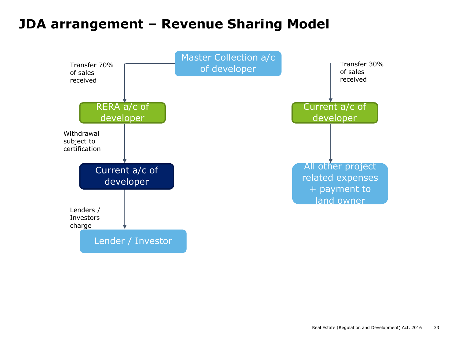#### **JDA arrangement – Revenue Sharing Model**

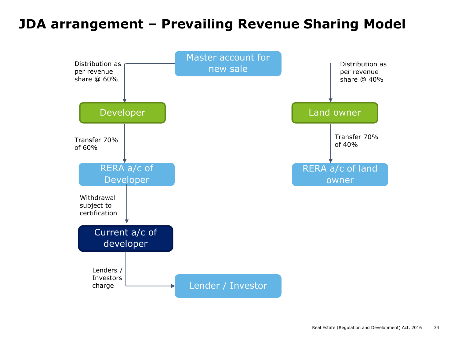#### **JDA arrangement – Prevailing Revenue Sharing Model**

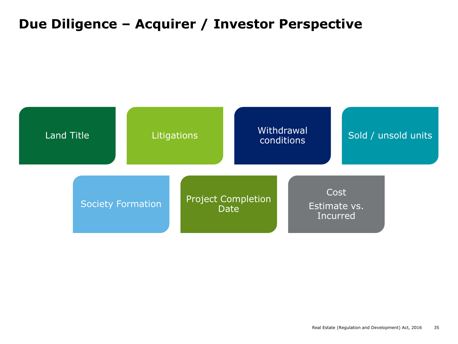## **Due Diligence – Acquirer / Investor Perspective**

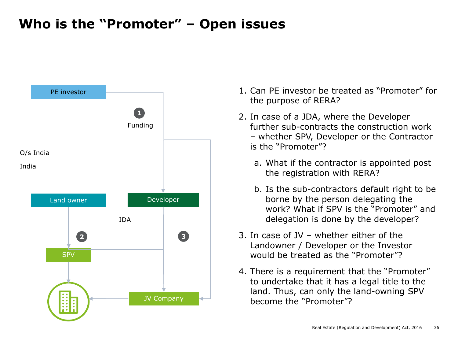## **Who is the "Promoter" – Open issues**



- 1. Can PE investor be treated as "Promoter" for the purpose of RERA?
- 2. In case of a JDA, where the Developer further sub-contracts the construction work – whether SPV, Developer or the Contractor is the "Promoter"?
	- a. What if the contractor is appointed post the registration with RERA?
	- b. Is the sub-contractors default right to be borne by the person delegating the work? What if SPV is the "Promoter" and delegation is done by the developer?
- 3. In case of JV whether either of the Landowner / Developer or the Investor would be treated as the "Promoter"?
- 4. There is a requirement that the "Promoter" to undertake that it has a legal title to the land. Thus, can only the land-owning SPV become the "Promoter"?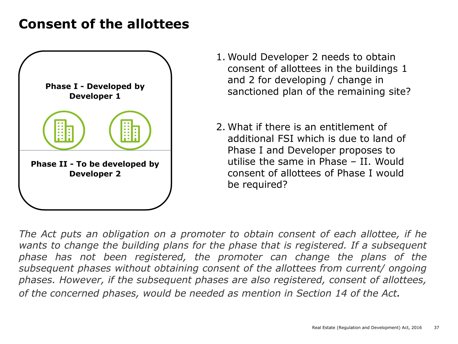#### **Consent of the allottees**



- 1. Would Developer 2 needs to obtain consent of allottees in the buildings 1 and 2 for developing / change in sanctioned plan of the remaining site?
- 2. What if there is an entitlement of additional FSI which is due to land of Phase I and Developer proposes to utilise the same in Phase – II. Would consent of allottees of Phase I would be required?

*The Act puts an obligation on a promoter to obtain consent of each allottee, if he wants to change the building plans for the phase that is registered. If a subsequent phase has not been registered, the promoter can change the plans of the subsequent phases without obtaining consent of the allottees from current/ ongoing phases. However, if the subsequent phases are also registered, consent of allottees, of the concerned phases, would be needed as mention in Section 14 of the Act.*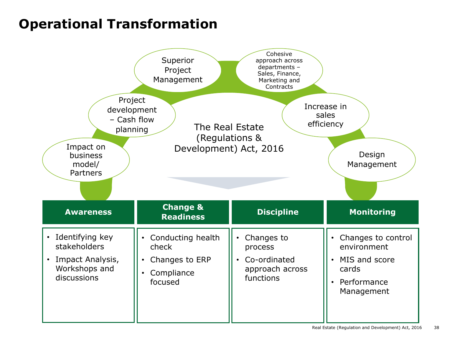### **Operational Transformation**



| <b>Awareness</b>                                                                    | <b>Change &amp;</b><br><b>Readiness</b>                               | <b>Discipline</b>                                                     | <b>Monitoring</b>                                                                                                  |
|-------------------------------------------------------------------------------------|-----------------------------------------------------------------------|-----------------------------------------------------------------------|--------------------------------------------------------------------------------------------------------------------|
| Identifying key<br>stakeholders<br>Impact Analysis,<br>Workshops and<br>discussions | Conducting health<br>check<br>Changes to ERP<br>Compliance<br>focused | Changes to<br>process<br>Co-ordinated<br>approach across<br>functions | Changes to control<br>$\bullet$<br>environment<br>MIS and score<br>$\bullet$<br>cards<br>Performance<br>Management |
|                                                                                     |                                                                       |                                                                       |                                                                                                                    |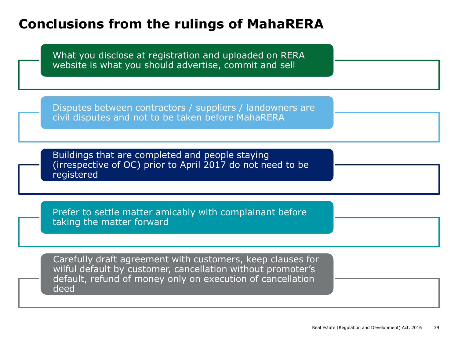### **Conclusions from the rulings of MahaRERA**

What you disclose at registration and uploaded on RERA website is what you should advertise, commit and sell

Disputes between contractors / suppliers / landowners are civil disputes and not to be taken before MahaRERA

Buildings that are completed and people staying (irrespective of OC) prior to April 2017 do not need to be registered

Prefer to settle matter amicably with complainant before taking the matter forward

Carefully draft agreement with customers, keep clauses for wilful default by customer, cancellation without promoter's default, refund of money only on execution of cancellation deed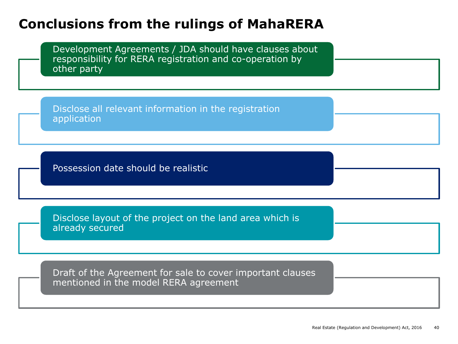### **Conclusions from the rulings of MahaRERA**

Development Agreements / JDA should have clauses about responsibility for RERA registration and co-operation by other party

Disclose all relevant information in the registration application

Possession date should be realistic

Disclose layout of the project on the land area which is already secured

Draft of the Agreement for sale to cover important clauses mentioned in the model RERA agreement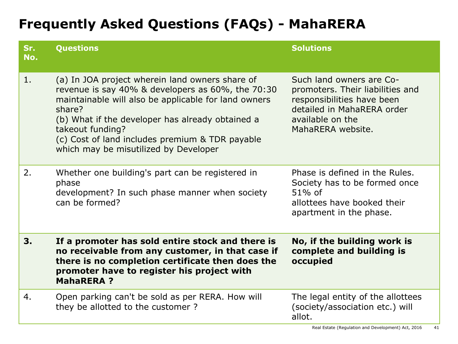# **Frequently Asked Questions (FAQs) - MahaRERA**

| Sr.<br>No. | <b>Questions</b>                                                                                                                                                                                                                                                                                                                           | <b>Solutions</b>                                                                                                                                                  |
|------------|--------------------------------------------------------------------------------------------------------------------------------------------------------------------------------------------------------------------------------------------------------------------------------------------------------------------------------------------|-------------------------------------------------------------------------------------------------------------------------------------------------------------------|
| 1.         | (a) In JOA project wherein land owners share of<br>revenue is say 40% & developers as 60%, the 70:30<br>maintainable will also be applicable for land owners<br>share?<br>(b) What if the developer has already obtained a<br>takeout funding?<br>(c) Cost of land includes premium & TDR payable<br>which may be misutilized by Developer | Such land owners are Co-<br>promoters. Their liabilities and<br>responsibilities have been<br>detailed in MahaRERA order<br>available on the<br>MahaRERA website. |
| 2.         | Whether one building's part can be registered in<br>phase<br>development? In such phase manner when society<br>can be formed?                                                                                                                                                                                                              | Phase is defined in the Rules.<br>Society has to be formed once<br>$51\%$ of<br>allottees have booked their<br>apartment in the phase.                            |
| 3.         | If a promoter has sold entire stock and there is<br>no receivable from any customer, in that case if<br>there is no completion certificate then does the<br>promoter have to register his project with<br><b>MahaRERA?</b>                                                                                                                 | No, if the building work is<br>complete and building is<br>occupied                                                                                               |
| 4.         | Open parking can't be sold as per RERA. How will<br>they be allotted to the customer?                                                                                                                                                                                                                                                      | The legal entity of the allottees<br>(society/association etc.) will<br>allot.                                                                                    |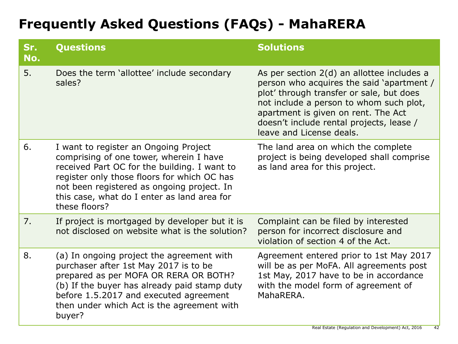# **Frequently Asked Questions (FAQs) - MahaRERA**

| Sr.<br>No. | <b>Questions</b>                                                                                                                                                                                                                                                                              | <b>Solutions</b>                                                                                                                                                                                                                                                                              |
|------------|-----------------------------------------------------------------------------------------------------------------------------------------------------------------------------------------------------------------------------------------------------------------------------------------------|-----------------------------------------------------------------------------------------------------------------------------------------------------------------------------------------------------------------------------------------------------------------------------------------------|
| 5.         | Does the term 'allottee' include secondary<br>sales?                                                                                                                                                                                                                                          | As per section 2(d) an allottee includes a<br>person who acquires the said 'apartment /<br>plot' through transfer or sale, but does<br>not include a person to whom such plot,<br>apartment is given on rent. The Act<br>doesn't include rental projects, lease /<br>leave and License deals. |
| 6.         | I want to register an Ongoing Project<br>comprising of one tower, wherein I have<br>received Part OC for the building. I want to<br>register only those floors for which OC has<br>not been registered as ongoing project. In<br>this case, what do I enter as land area for<br>these floors? | The land area on which the complete<br>project is being developed shall comprise<br>as land area for this project.                                                                                                                                                                            |
| 7.         | If project is mortgaged by developer but it is<br>not disclosed on website what is the solution?                                                                                                                                                                                              | Complaint can be filed by interested<br>person for incorrect disclosure and<br>violation of section 4 of the Act.                                                                                                                                                                             |
| 8.         | (a) In ongoing project the agreement with<br>purchaser after 1st May 2017 is to be<br>prepared as per MOFA OR RERA OR BOTH?<br>(b) If the buyer has already paid stamp duty<br>before 1.5.2017 and executed agreement<br>then under which Act is the agreement with<br>buyer?                 | Agreement entered prior to 1st May 2017<br>will be as per MoFA. All agreements post<br>1st May, 2017 have to be in accordance<br>with the model form of agreement of<br>MahaRERA.                                                                                                             |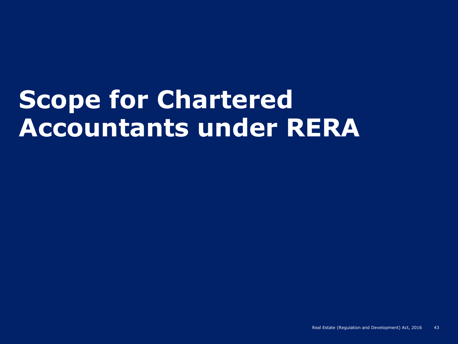# **Scope for Chartered Accountants under RERA**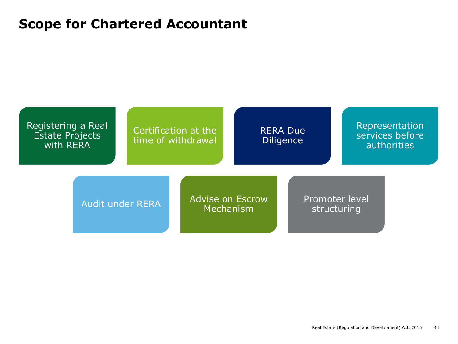### **Scope for Chartered Accountant**

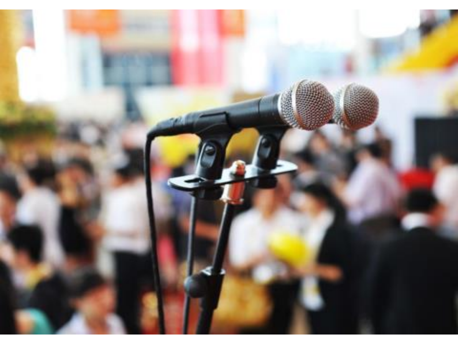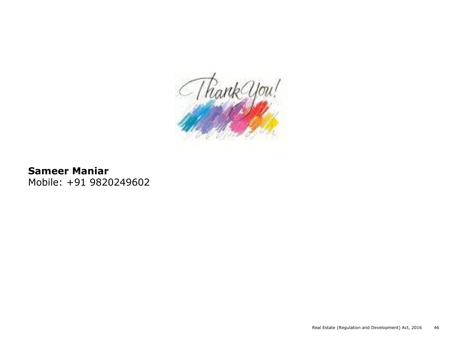

#### **Sameer Maniar** Mobile: +91 9820249602